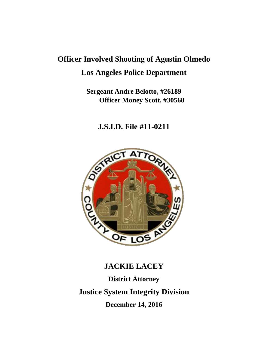# **Officer Involved Shooting of Agustin Olmedo Los Angeles Police Department**

# **Sergeant Andre Belotto, #26189 Officer Money Scott, #30568**

# **J.S.I.D. File #11-0211**



# **JACKIE LACEY**

**District Attorney Justice System Integrity Division December 14, 2016**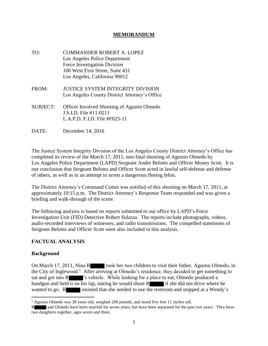### **MEMORANDUM**

- TO: COMMANDER ROBERT A. LOPEZ Los Angeles Police Department Force Investigation Division 100 West First Street, Suite 431 Los Angeles, California 90012 FROM: JUSTICE SYSTEM INTEGRITY DIVISION Los Angeles County District Attorney's Office
- SUBJECT: Officer Involved Shooting of Agustin Olmedo J.S.I.D. File #11-0211 L.A.P.D. F.I.D. File #F025-11
- DATE: December 14, 2016

The Justice System Integrity Division of the Los Angeles County District Attorney's Office has completed its review of the March 17, 2011, non-fatal shooting of Agustin Olmedo by Los Angeles Police Department (LAPD) Sergeant Andre Belotto and Officer Money Scott. It is our conclusion that Sergeant Belotto and Officer Scott acted in lawful self-defense and defense of others, as well as in an attempt to arrest a dangerous fleeing felon.

The District Attorney's Command Center was notified of this shooting on March 17, 2011, at approximately 10:15 p.m. The District Attorney's Response Team responded and was given a briefing and walk-through of the scene.

The following analysis is based on reports submitted to our office by LAPD's Force Investigation Unit (FID) Detective Robert Solarza. The reports include photographs, videos, audio-recorded interviews of witnesses, and radio transmissions. The compelled statements of Sergeant Belotto and Officer Scott were also included in this analysis.

# **FACTUAL ANALYSIS**

#### **Background**

On March 17, 2011, Nina R took her two children to visit their father, Agustin Olmedo, in the City of Inglewood.<sup>1</sup> After arriving at Olmedo's residence, they decided to get something to eat and got into R  $\blacksquare$  's vehicle. While looking for a place to eat, Olmedo produced a handgun and held it on his lap, stating he would shoot  $R$  if she did not drive where he wanted to go. R insisted that she needed to use the restroom and stopped at a Wendy's

<sup>&</sup>lt;sup>1</sup> Agustin Olmedo was 38 years old, weighed 200 pounds, and stood five feet 11 inches tall.

and Olmedo have been married for seven years, but have been separated for the past two years. They have two daughters together, ages seven and three.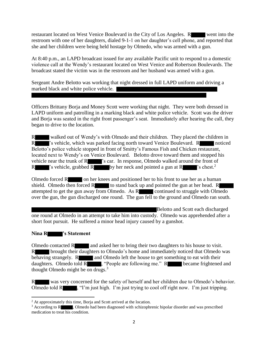restaurant located on West Venice Boulevard in the City of Los Angeles. R went into the restroom with one of her daughters, dialed 9-1-1 on her daughter's cell phone, and reported that she and her children were being held hostage by Olmedo, who was armed with a gun.

At 8:40 p.m., an LAPD broadcast issued for any available Pacific unit to respond to a domestic violence call at the Wendy's restaurant located on West Venice and Robertson Boulevards. The broadcast stated the victim was in the restroom and her husband was armed with a gun.

Sergeant Andre Belotto was working that night dressed in full LAPD uniform and driving a marked black and white police vehicle.

Officers Brittany Borja and Money Scott were working that night. They were both dressed in LAPD uniform and patrolling in a marking black and white police vehicle. Scott was the driver and Borja was seated in the right front passenger's seat. Immediately after hearing the call, they began to drive to the location.

R walked out of Wendy's with Olmedo and their children. They placed the children in R 's vehicle, which was parked facing north toward Venice Boulevard. R noticed Belotto's police vehicle stopped in front of Smitty's Famous Fish and Chicken restaurant, located next to Wendy's on Venice Boulevard. Belotto drove toward them and stopped his vehicle near the trunk of R  $\blacksquare$  's car. In response, Olmedo walked around the front of R  $\blacksquare$  's vehicle, grabbed R by her neck and pointed a gun at R  $\blacksquare$  's chest.<sup>2</sup>

Olmedo forced  $R_{\text{on}}$  on her knees and positioned her to his front to use her as a human shield. Olmedo then forced  $R$  to stand back up and pointed the gun at her head.  $R$ attempted to get the gun away from Olmedo. As R continued to struggle with Olmedo over the gun, the gun discharged one round. The gun fell to the ground and Olmedo ran south.

Belotto and Scott each discharged one round at Olmedo in an attempt to take him into custody. Olmedo was apprehended after a short foot pursuit. He suffered a minor head injury caused by a gunshot.

#### **Nina R 's Statement**

Olmedo contacted R and asked her to bring their two daughters to his house to visit. R brought their daughters to Olmedo's home and immediately noticed that Olmedo was behaving strangely.  $R$  and Olmedo left the house to get something to eat with their daughters. Olmedo told R , "People are following me." R became frightened and thought Olmedo might be on drugs.<sup>3</sup>

R was very concerned for the safety of herself and her children due to Olmedo's behavior. Olmedo told R , "I'm just high. I'm just trying to cool off right now. I'm just tripping.

<sup>&</sup>lt;sup>2</sup> At approximately this time, Borja and Scott arrived at the location.

<sup>&</sup>lt;sup>3</sup> According to R , Olmedo had been diagnosed with schizophrenic bipolar disorder and was prescribed medication to treat his condition.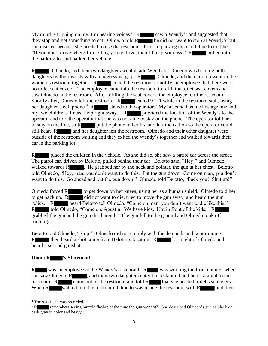My mind is tripping on me. I'm hearing voices."  $R$  saw a Wendy's and suggested that they stop and get something to eat. Olmedo told R he did not want to stop at Wendy's but she insisted because she needed to use the restroom. Prior to parking the car, Olmedo told her, "If you don't drive where I'm telling you to drive, then I'll cap your ass."  $R$  pulled into the parking lot and parked her vehicle.

R , Olmedo, and their two daughters went inside Wendy's. Olmedo was holding both daughters by their wrists with an aggressive grip. R , Olmedo, and the children went in the women's restroom together. Recall the restroom to notify an employee that there were no toilet seat covers. The employee came into the restroom to refill the toilet seat covers and saw Olmedo in the restroom. After refilling the seat covers, the employee left the restroom. Shortly after, Olmedo left the restroom. R called 9-1-1 while in the restroom stall, using her daughter's cell phone.<sup>4</sup> R stated to the operator, "My husband has me hostage, me and my two children. I need help right away."  $R$  provided the location of the Wendy's to the operator and told the operator that she was not able to stay on the phone. The operator told her to stay on the line, so R put the phone in her bra and left the call on so the operator could still hear. R and her daughter left the restroom. Olmedo and their other daughter were outside of the restroom waiting and they exited the Wendy's together and walked towards their car in the parking lot.

R placed the children in the vehicle. As she did so, she saw a patrol car across the street. The patrol car, driven by Belotto, pulled behind their car. Belotto said, "Hey!" and Olmedo walked towards  $\mathbb{R}$  . He grabbed her by the neck and pointed the gun at her chest. Belotto told Olmedo, "Hey, man, you don't want to do this. Put the gun down. Come on man, you don't want to do this. Go ahead and put the gun down." Olmedo told Belotto, "Fuck you! Shut up!"

Olmedo forced R to get down on her knees, using her as a human shield. Olmedo told her to get back up.  $\overline{R}$  did not want to die, tried to move the gun away, and heard the gun "click." R heard Belotto tell Olmedo, "Come on man, you don't want to die like this." R told Olmedo, "Come on, Agustin. We have kids. Not in front of the kids." R grabbed the gun and the gun discharged.<sup>5</sup> The gun fell to the ground and Olmedo took off running.

Belotto told Olmedo, "Stop!" Olmedo did not comply with the demands and kept running. R then heard a shot come from Belotto's location. R lost sight of Olmedo and heard a second gunshot.

# **Diana R 's Statement**

R was an employee at the Wendy's restaurant. R was working the front counter when she saw Olmedo, R , and their two daughters enter the restaurant and head straight to the restroom. R came out of the restroom and told R that she needed toilet seat covers. When  $R$  walked into the restroom, Olmedo was inside the restroom with  $R$  and their

<sup>4</sup> The 9-1-1 call was recorded.

remembers seeing muzzle flashes at the time the gun went off. She described Olmedo's gun as black or dark gray in color and heavy.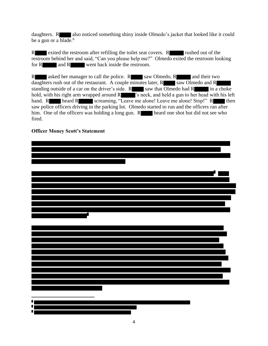daughters. R also noticed something shiny inside Olmedo's jacket that looked like it could be a gun or a  $\overline{\text{blade}}$ .<sup>6</sup>

R exited the restroom after refilling the toilet seat covers. R rushed out of the restroom behind her and said, "Can you please help me?" Olmedo exited the restroom looking for R and R went back inside the restroom.

R asked her manager to call the police. R saw Olmedo, R and their two daughters rush out of the restaurant. A couple minutes later,  $R$  saw Olmedo and  $R$ standing outside of a car on the driver's side.  $R$  saw that Olmedo had  $R$  in a choke hold, with his right arm wrapped around  $R$  's neck, and held a gun to her head with his left hand. R heard R screaming, "Leave me alone! Leave me alone! Stop!" R then saw police officers driving in the parking lot. Olmedo started to run and the officers ran after him. One of the officers was holding a long gun. R heard one shot but did not see who fired.

# **Officer Money Scott's Statement**

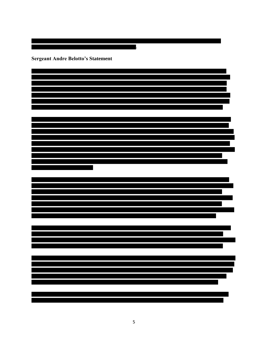**Sergeant Andre Belotto's Statement**

.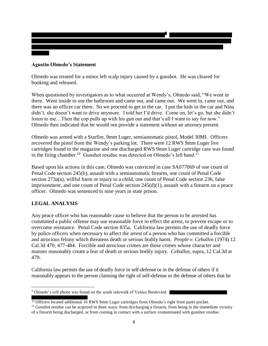# **Agustin Olmedo's Statement**

Olmedo was treated for a minor left scalp injury caused by a gunshot. He was cleared for booking and released.

When questioned by investigators as to what occurred at Wendy's, Olmedo said, "We went in there. Went inside to use the bathroom and came out, and came out. We went in, came out, and there was an officer car there. So we proceed to get in the car. I put the kids in the car and Nina didn't, she doesn't want to drive anymore. I told her I'd drive. Come on, let's go, but she didn't listen to me…Then the cop pulls up with his gun out and that's all I want to say for now." Olmedo then indicated that he would not provide a statement without an attorney present.

Olmedo was armed with a Starfire, 9mm Luger, semiautomatic pistol, Model 30MI. Officers recovered the pistol from the Wendy's parking lot. There were 12 RWS 9mm Luger live cartridges found in the magazine and one discharged RWS 9mm Luger cartridge case was found in the firing chamber.<sup>10</sup> Gunshot residue was detected on Olmedo's left hand.<sup>11</sup>

Based upon his actions in this case, Olmedo was convicted in case SA077069 of one count of Penal Code section 245(b), assault with a semiautomatic firearm, one count of Penal Code section 273a(a), willful harm or injury to a child, one count of Penal Code section 236, false imprisonment, and one count of Penal Code section 245(d)(1), assault with a firearm on a peace officer. Olmedo was sentenced to nine years in state prison.

# **LEGAL ANALYSIS**

 $\overline{a}$ 

Any peace officer who has reasonable cause to believe that the person to be arrested has committed a public offense may use reasonable force to effect the arrest, to prevent escape or to overcome resistance. Penal Code section 835a. California law permits the use of deadly force by police officers when necessary to affect the arrest of a person who has committed a forcible and atrocious felony which threatens death or serious bodily harm. *People v. Ceballos* (1974) 12 Cal.3d 470, 477-484. Forcible and atrocious crimes are those crimes whose character and manner reasonably create a fear of death or serious bodily injury. *Ceballos*, supra, 12 Cal.3d at 479.

California law permits the use of deadly force in self-defense or in the defense of others if it reasonably appears to the person claiming the right of self-defense or the defense of others that he

<sup>&</sup>lt;sup>9</sup> Olmedo's cell phone was found on the south sidewalk of Venice Boulevard.

<sup>.</sup>  $\frac{10}{10}$  Officers located additional 16 RWS 9mm Luger cartridges from Olmedo's right front pants pocket.

 $11$  Gunshot residue can be acquired in three ways: from discharging a firearm, from being in the immediate vicinity of a firearm being discharged, or from coming in contact with a surface contaminated with gunshot residue.